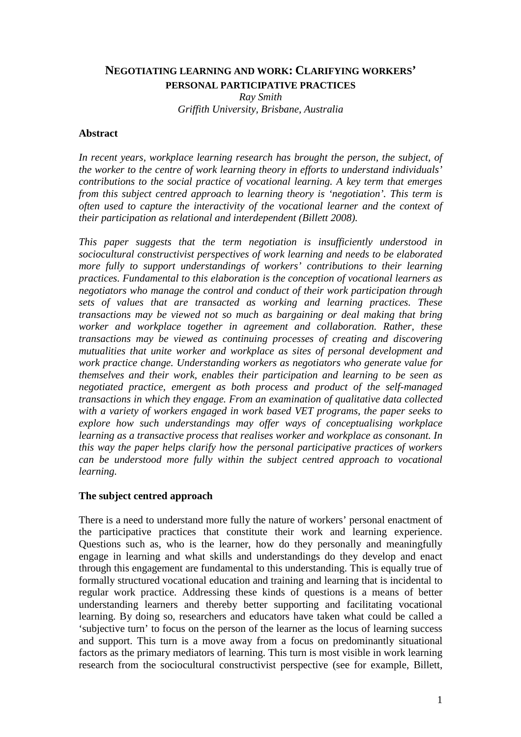# **NEGOTIATING LEARNING AND WORK: CLARIFYING WORKERS' PERSONAL PARTICIPATIVE PRACTICES**

*Ray Smith Griffith University, Brisbane, Australia* 

### **Abstract**

*In recent years, workplace learning research has brought the person, the subject, of the worker to the centre of work learning theory in efforts to understand individuals' contributions to the social practice of vocational learning. A key term that emerges from this subject centred approach to learning theory is 'negotiation'. This term is often used to capture the interactivity of the vocational learner and the context of their participation as relational and interdependent (Billett 2008).* 

*This paper suggests that the term negotiation is insufficiently understood in sociocultural constructivist perspectives of work learning and needs to be elaborated more fully to support understandings of workers' contributions to their learning practices. Fundamental to this elaboration is the conception of vocational learners as negotiators who manage the control and conduct of their work participation through sets of values that are transacted as working and learning practices. These transactions may be viewed not so much as bargaining or deal making that bring worker and workplace together in agreement and collaboration. Rather, these transactions may be viewed as continuing processes of creating and discovering mutualities that unite worker and workplace as sites of personal development and work practice change. Understanding workers as negotiators who generate value for themselves and their work, enables their participation and learning to be seen as negotiated practice, emergent as both process and product of the self-managed transactions in which they engage. From an examination of qualitative data collected with a variety of workers engaged in work based VET programs, the paper seeks to explore how such understandings may offer ways of conceptualising workplace learning as a transactive process that realises worker and workplace as consonant. In this way the paper helps clarify how the personal participative practices of workers can be understood more fully within the subject centred approach to vocational learning.*

#### **The subject centred approach**

There is a need to understand more fully the nature of workers' personal enactment of the participative practices that constitute their work and learning experience. Questions such as, who is the learner, how do they personally and meaningfully engage in learning and what skills and understandings do they develop and enact through this engagement are fundamental to this understanding. This is equally true of formally structured vocational education and training and learning that is incidental to regular work practice. Addressing these kinds of questions is a means of better understanding learners and thereby better supporting and facilitating vocational learning. By doing so, researchers and educators have taken what could be called a 'subjective turn' to focus on the person of the learner as the locus of learning success and support. This turn is a move away from a focus on predominantly situational factors as the primary mediators of learning. This turn is most visible in work learning research from the sociocultural constructivist perspective (see for example, Billett,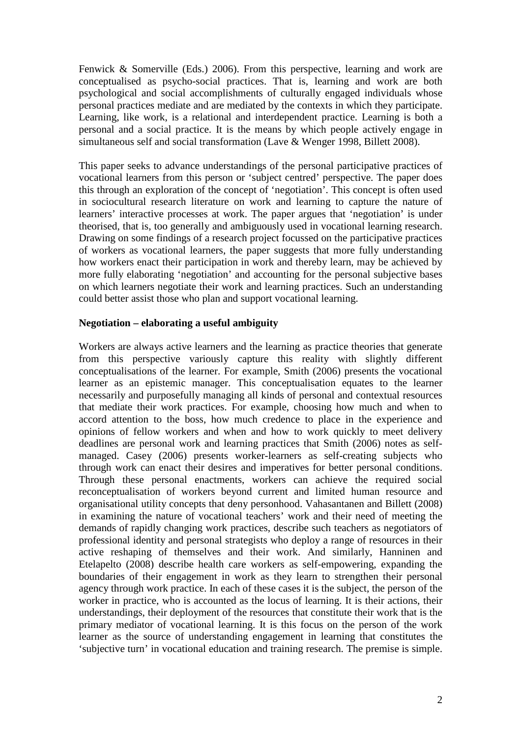Fenwick & Somerville (Eds.) 2006). From this perspective, learning and work are conceptualised as psycho-social practices. That is, learning and work are both psychological and social accomplishments of culturally engaged individuals whose personal practices mediate and are mediated by the contexts in which they participate. Learning, like work, is a relational and interdependent practice. Learning is both a personal and a social practice. It is the means by which people actively engage in simultaneous self and social transformation (Lave & Wenger 1998, Billett 2008).

This paper seeks to advance understandings of the personal participative practices of vocational learners from this person or 'subject centred' perspective. The paper does this through an exploration of the concept of 'negotiation'. This concept is often used in sociocultural research literature on work and learning to capture the nature of learners' interactive processes at work. The paper argues that 'negotiation' is under theorised, that is, too generally and ambiguously used in vocational learning research. Drawing on some findings of a research project focussed on the participative practices of workers as vocational learners, the paper suggests that more fully understanding how workers enact their participation in work and thereby learn, may be achieved by more fully elaborating 'negotiation' and accounting for the personal subjective bases on which learners negotiate their work and learning practices. Such an understanding could better assist those who plan and support vocational learning.

## **Negotiation – elaborating a useful ambiguity**

Workers are always active learners and the learning as practice theories that generate from this perspective variously capture this reality with slightly different conceptualisations of the learner. For example, Smith (2006) presents the vocational learner as an epistemic manager. This conceptualisation equates to the learner necessarily and purposefully managing all kinds of personal and contextual resources that mediate their work practices. For example, choosing how much and when to accord attention to the boss, how much credence to place in the experience and opinions of fellow workers and when and how to work quickly to meet delivery deadlines are personal work and learning practices that Smith (2006) notes as selfmanaged. Casey (2006) presents worker-learners as self-creating subjects who through work can enact their desires and imperatives for better personal conditions. Through these personal enactments, workers can achieve the required social reconceptualisation of workers beyond current and limited human resource and organisational utility concepts that deny personhood. Vahasantanen and Billett (2008) in examining the nature of vocational teachers' work and their need of meeting the demands of rapidly changing work practices, describe such teachers as negotiators of professional identity and personal strategists who deploy a range of resources in their active reshaping of themselves and their work. And similarly, Hanninen and Etelapelto (2008) describe health care workers as self-empowering, expanding the boundaries of their engagement in work as they learn to strengthen their personal agency through work practice. In each of these cases it is the subject, the person of the worker in practice, who is accounted as the locus of learning. It is their actions, their understandings, their deployment of the resources that constitute their work that is the primary mediator of vocational learning. It is this focus on the person of the work learner as the source of understanding engagement in learning that constitutes the 'subjective turn' in vocational education and training research. The premise is simple.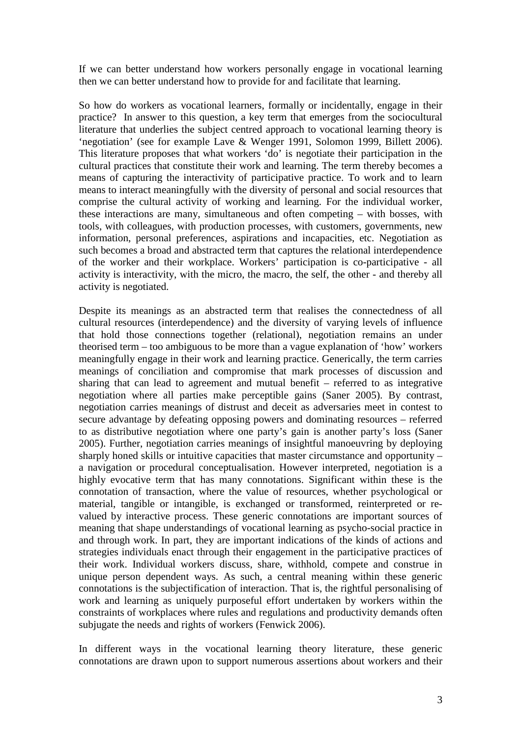If we can better understand how workers personally engage in vocational learning then we can better understand how to provide for and facilitate that learning.

So how do workers as vocational learners, formally or incidentally, engage in their practice? In answer to this question, a key term that emerges from the sociocultural literature that underlies the subject centred approach to vocational learning theory is 'negotiation' (see for example Lave & Wenger 1991, Solomon 1999, Billett 2006). This literature proposes that what workers 'do' is negotiate their participation in the cultural practices that constitute their work and learning. The term thereby becomes a means of capturing the interactivity of participative practice. To work and to learn means to interact meaningfully with the diversity of personal and social resources that comprise the cultural activity of working and learning. For the individual worker, these interactions are many, simultaneous and often competing – with bosses, with tools, with colleagues, with production processes, with customers, governments, new information, personal preferences, aspirations and incapacities, etc. Negotiation as such becomes a broad and abstracted term that captures the relational interdependence of the worker and their workplace. Workers' participation is co-participative - all activity is interactivity, with the micro, the macro, the self, the other - and thereby all activity is negotiated.

Despite its meanings as an abstracted term that realises the connectedness of all cultural resources (interdependence) and the diversity of varying levels of influence that hold those connections together (relational), negotiation remains an under theorised term – too ambiguous to be more than a vague explanation of 'how' workers meaningfully engage in their work and learning practice. Generically, the term carries meanings of conciliation and compromise that mark processes of discussion and sharing that can lead to agreement and mutual benefit – referred to as integrative negotiation where all parties make perceptible gains (Saner 2005). By contrast, negotiation carries meanings of distrust and deceit as adversaries meet in contest to secure advantage by defeating opposing powers and dominating resources – referred to as distributive negotiation where one party's gain is another party's loss (Saner 2005). Further, negotiation carries meanings of insightful manoeuvring by deploying sharply honed skills or intuitive capacities that master circumstance and opportunity – a navigation or procedural conceptualisation. However interpreted, negotiation is a highly evocative term that has many connotations. Significant within these is the connotation of transaction, where the value of resources, whether psychological or material, tangible or intangible, is exchanged or transformed, reinterpreted or revalued by interactive process. These generic connotations are important sources of meaning that shape understandings of vocational learning as psycho-social practice in and through work. In part, they are important indications of the kinds of actions and strategies individuals enact through their engagement in the participative practices of their work. Individual workers discuss, share, withhold, compete and construe in unique person dependent ways. As such, a central meaning within these generic connotations is the subjectification of interaction. That is, the rightful personalising of work and learning as uniquely purposeful effort undertaken by workers within the constraints of workplaces where rules and regulations and productivity demands often subjugate the needs and rights of workers (Fenwick 2006).

In different ways in the vocational learning theory literature, these generic connotations are drawn upon to support numerous assertions about workers and their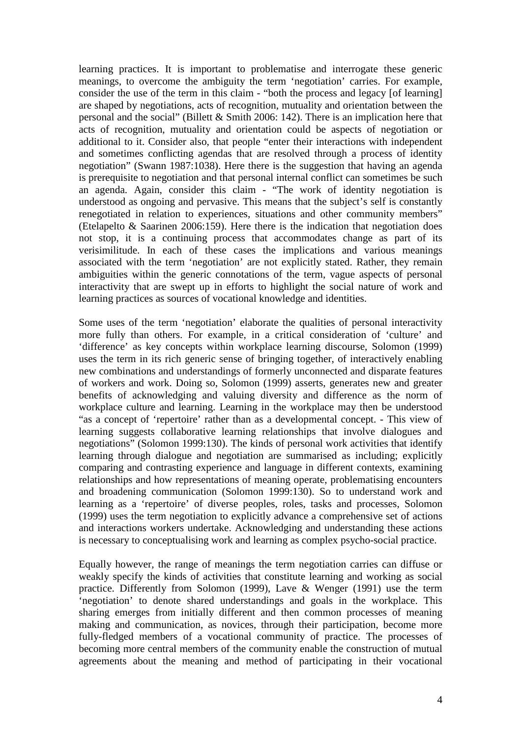learning practices. It is important to problematise and interrogate these generic meanings, to overcome the ambiguity the term 'negotiation' carries. For example, consider the use of the term in this claim - "both the process and legacy [of learning] are shaped by negotiations, acts of recognition, mutuality and orientation between the personal and the social" (Billett & Smith 2006: 142). There is an implication here that acts of recognition, mutuality and orientation could be aspects of negotiation or additional to it. Consider also, that people "enter their interactions with independent and sometimes conflicting agendas that are resolved through a process of identity negotiation" (Swann 1987:1038). Here there is the suggestion that having an agenda is prerequisite to negotiation and that personal internal conflict can sometimes be such an agenda. Again, consider this claim - "The work of identity negotiation is understood as ongoing and pervasive. This means that the subject's self is constantly renegotiated in relation to experiences, situations and other community members" (Etelapelto & Saarinen 2006:159). Here there is the indication that negotiation does not stop, it is a continuing process that accommodates change as part of its verisimilitude. In each of these cases the implications and various meanings associated with the term 'negotiation' are not explicitly stated. Rather, they remain ambiguities within the generic connotations of the term, vague aspects of personal interactivity that are swept up in efforts to highlight the social nature of work and learning practices as sources of vocational knowledge and identities.

Some uses of the term 'negotiation' elaborate the qualities of personal interactivity more fully than others. For example, in a critical consideration of 'culture' and 'difference' as key concepts within workplace learning discourse, Solomon (1999) uses the term in its rich generic sense of bringing together, of interactively enabling new combinations and understandings of formerly unconnected and disparate features of workers and work. Doing so, Solomon (1999) asserts, generates new and greater benefits of acknowledging and valuing diversity and difference as the norm of workplace culture and learning. Learning in the workplace may then be understood "as a concept of 'repertoire' rather than as a developmental concept. - This view of learning suggests collaborative learning relationships that involve dialogues and negotiations" (Solomon 1999:130). The kinds of personal work activities that identify learning through dialogue and negotiation are summarised as including; explicitly comparing and contrasting experience and language in different contexts, examining relationships and how representations of meaning operate, problematising encounters and broadening communication (Solomon 1999:130). So to understand work and learning as a 'repertoire' of diverse peoples, roles, tasks and processes, Solomon (1999) uses the term negotiation to explicitly advance a comprehensive set of actions and interactions workers undertake. Acknowledging and understanding these actions is necessary to conceptualising work and learning as complex psycho-social practice.

Equally however, the range of meanings the term negotiation carries can diffuse or weakly specify the kinds of activities that constitute learning and working as social practice. Differently from Solomon (1999), Lave & Wenger (1991) use the term 'negotiation' to denote shared understandings and goals in the workplace. This sharing emerges from initially different and then common processes of meaning making and communication, as novices, through their participation, become more fully-fledged members of a vocational community of practice. The processes of becoming more central members of the community enable the construction of mutual agreements about the meaning and method of participating in their vocational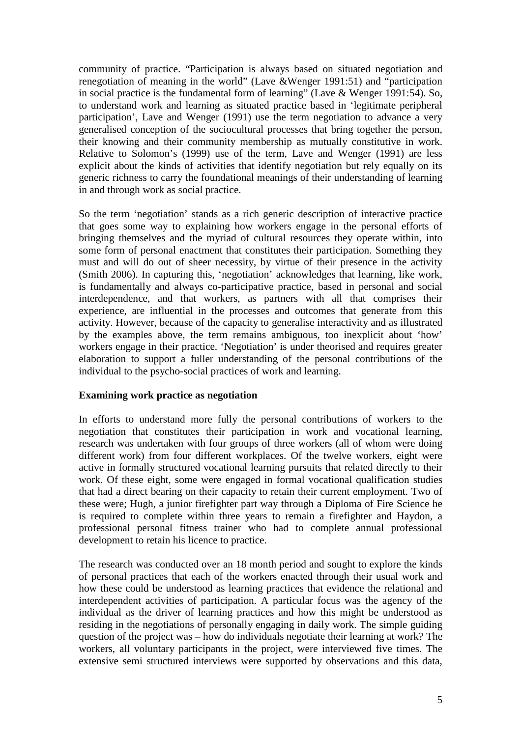community of practice. "Participation is always based on situated negotiation and renegotiation of meaning in the world" (Lave &Wenger 1991:51) and "participation in social practice is the fundamental form of learning" (Lave & Wenger 1991:54). So, to understand work and learning as situated practice based in 'legitimate peripheral participation', Lave and Wenger (1991) use the term negotiation to advance a very generalised conception of the sociocultural processes that bring together the person, their knowing and their community membership as mutually constitutive in work. Relative to Solomon's (1999) use of the term, Lave and Wenger (1991) are less explicit about the kinds of activities that identify negotiation but rely equally on its generic richness to carry the foundational meanings of their understanding of learning in and through work as social practice.

So the term 'negotiation' stands as a rich generic description of interactive practice that goes some way to explaining how workers engage in the personal efforts of bringing themselves and the myriad of cultural resources they operate within, into some form of personal enactment that constitutes their participation. Something they must and will do out of sheer necessity, by virtue of their presence in the activity (Smith 2006). In capturing this, 'negotiation' acknowledges that learning, like work, is fundamentally and always co-participative practice, based in personal and social interdependence, and that workers, as partners with all that comprises their experience, are influential in the processes and outcomes that generate from this activity. However, because of the capacity to generalise interactivity and as illustrated by the examples above, the term remains ambiguous, too inexplicit about 'how' workers engage in their practice. 'Negotiation' is under theorised and requires greater elaboration to support a fuller understanding of the personal contributions of the individual to the psycho-social practices of work and learning.

#### **Examining work practice as negotiation**

In efforts to understand more fully the personal contributions of workers to the negotiation that constitutes their participation in work and vocational learning, research was undertaken with four groups of three workers (all of whom were doing different work) from four different workplaces. Of the twelve workers, eight were active in formally structured vocational learning pursuits that related directly to their work. Of these eight, some were engaged in formal vocational qualification studies that had a direct bearing on their capacity to retain their current employment. Two of these were; Hugh, a junior firefighter part way through a Diploma of Fire Science he is required to complete within three years to remain a firefighter and Haydon, a professional personal fitness trainer who had to complete annual professional development to retain his licence to practice.

The research was conducted over an 18 month period and sought to explore the kinds of personal practices that each of the workers enacted through their usual work and how these could be understood as learning practices that evidence the relational and interdependent activities of participation. A particular focus was the agency of the individual as the driver of learning practices and how this might be understood as residing in the negotiations of personally engaging in daily work. The simple guiding question of the project was – how do individuals negotiate their learning at work? The workers, all voluntary participants in the project, were interviewed five times. The extensive semi structured interviews were supported by observations and this data,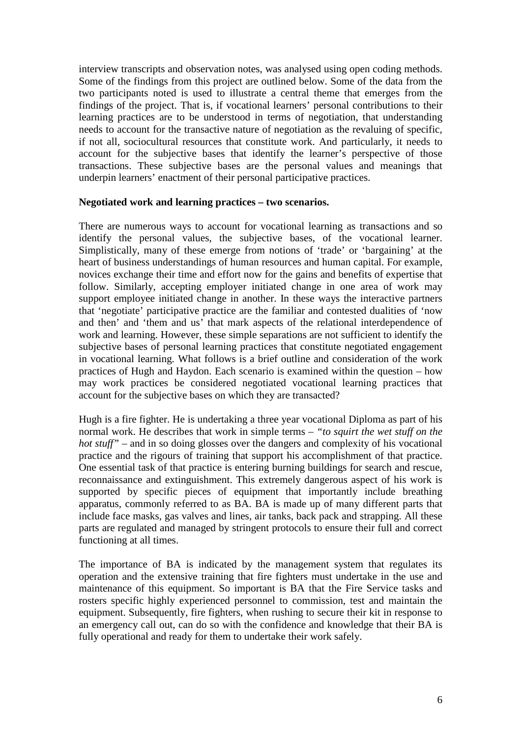interview transcripts and observation notes, was analysed using open coding methods. Some of the findings from this project are outlined below. Some of the data from the two participants noted is used to illustrate a central theme that emerges from the findings of the project. That is, if vocational learners' personal contributions to their learning practices are to be understood in terms of negotiation, that understanding needs to account for the transactive nature of negotiation as the revaluing of specific, if not all, sociocultural resources that constitute work. And particularly, it needs to account for the subjective bases that identify the learner's perspective of those transactions. These subjective bases are the personal values and meanings that underpin learners' enactment of their personal participative practices.

#### **Negotiated work and learning practices – two scenarios.**

There are numerous ways to account for vocational learning as transactions and so identify the personal values, the subjective bases, of the vocational learner. Simplistically, many of these emerge from notions of 'trade' or 'bargaining' at the heart of business understandings of human resources and human capital. For example, novices exchange their time and effort now for the gains and benefits of expertise that follow. Similarly, accepting employer initiated change in one area of work may support employee initiated change in another. In these ways the interactive partners that 'negotiate' participative practice are the familiar and contested dualities of 'now and then' and 'them and us' that mark aspects of the relational interdependence of work and learning. However, these simple separations are not sufficient to identify the subjective bases of personal learning practices that constitute negotiated engagement in vocational learning. What follows is a brief outline and consideration of the work practices of Hugh and Haydon. Each scenario is examined within the question – how may work practices be considered negotiated vocational learning practices that account for the subjective bases on which they are transacted?

Hugh is a fire fighter. He is undertaking a three year vocational Diploma as part of his normal work. He describes that work in simple terms – *"to squirt the wet stuff on the hot stuff*" – and in so doing glosses over the dangers and complexity of his vocational practice and the rigours of training that support his accomplishment of that practice. One essential task of that practice is entering burning buildings for search and rescue, reconnaissance and extinguishment. This extremely dangerous aspect of his work is supported by specific pieces of equipment that importantly include breathing apparatus, commonly referred to as BA. BA is made up of many different parts that include face masks, gas valves and lines, air tanks, back pack and strapping. All these parts are regulated and managed by stringent protocols to ensure their full and correct functioning at all times.

The importance of BA is indicated by the management system that regulates its operation and the extensive training that fire fighters must undertake in the use and maintenance of this equipment. So important is BA that the Fire Service tasks and rosters specific highly experienced personnel to commission, test and maintain the equipment. Subsequently, fire fighters, when rushing to secure their kit in response to an emergency call out, can do so with the confidence and knowledge that their BA is fully operational and ready for them to undertake their work safely.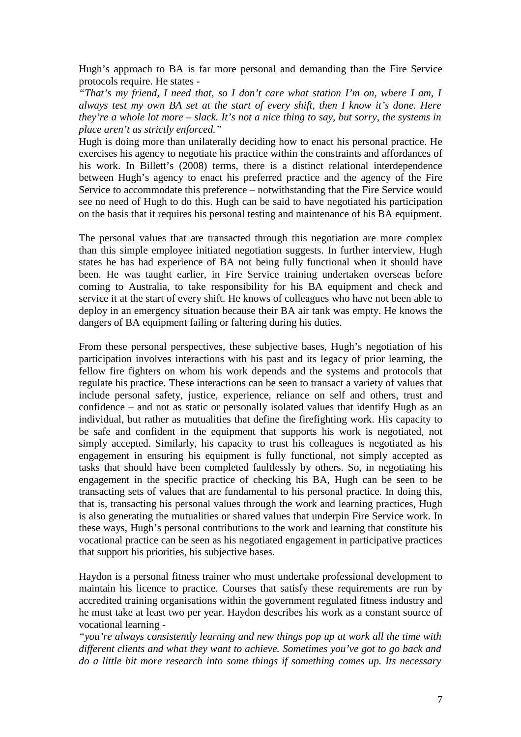Hugh's approach to BA is far more personal and demanding than the Fire Service protocols require. He states -

*"That's my friend, I need that, so I don't care what station I'm on, where I am, I always test my own BA set at the start of every shift, then I know it's done. Here they're a whole lot more – slack. It's not a nice thing to say, but sorry, the systems in place aren't as strictly enforced."* 

Hugh is doing more than unilaterally deciding how to enact his personal practice. He exercises his agency to negotiate his practice within the constraints and affordances of his work. In Billett's (2008) terms, there is a distinct relational interdependence between Hugh's agency to enact his preferred practice and the agency of the Fire Service to accommodate this preference – notwithstanding that the Fire Service would see no need of Hugh to do this. Hugh can be said to have negotiated his participation on the basis that it requires his personal testing and maintenance of his BA equipment.

The personal values that are transacted through this negotiation are more complex than this simple employee initiated negotiation suggests. In further interview, Hugh states he has had experience of BA not being fully functional when it should have been. He was taught earlier, in Fire Service training undertaken overseas before coming to Australia, to take responsibility for his BA equipment and check and service it at the start of every shift. He knows of colleagues who have not been able to deploy in an emergency situation because their BA air tank was empty. He knows the dangers of BA equipment failing or faltering during his duties.

From these personal perspectives, these subjective bases, Hugh's negotiation of his participation involves interactions with his past and its legacy of prior learning, the fellow fire fighters on whom his work depends and the systems and protocols that regulate his practice. These interactions can be seen to transact a variety of values that include personal safety, justice, experience, reliance on self and others, trust and confidence – and not as static or personally isolated values that identify Hugh as an individual, but rather as mutualities that define the firefighting work. His capacity to be safe and confident in the equipment that supports his work is negotiated, not simply accepted. Similarly, his capacity to trust his colleagues is negotiated as his engagement in ensuring his equipment is fully functional, not simply accepted as tasks that should have been completed faultlessly by others. So, in negotiating his engagement in the specific practice of checking his BA, Hugh can be seen to be transacting sets of values that are fundamental to his personal practice. In doing this, that is, transacting his personal values through the work and learning practices, Hugh is also generating the mutualities or shared values that underpin Fire Service work. In these ways, Hugh's personal contributions to the work and learning that constitute his vocational practice can be seen as his negotiated engagement in participative practices that support his priorities, his subjective bases.

Haydon is a personal fitness trainer who must undertake professional development to maintain his licence to practice. Courses that satisfy these requirements are run by accredited training organisations within the government regulated fitness industry and he must take at least two per year. Haydon describes his work as a constant source of vocational learning -

*"you're always consistently learning and new things pop up at work all the time with different clients and what they want to achieve. Sometimes you've got to go back and do a little bit more research into some things if something comes up. Its necessary*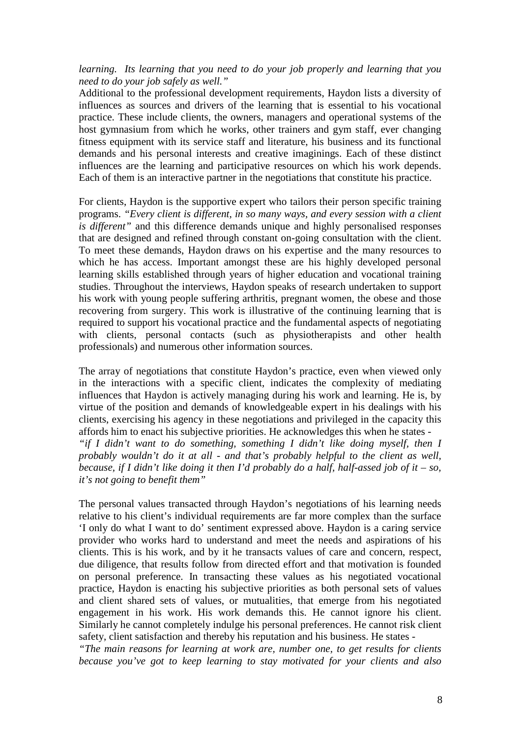#### *learning. Its learning that you need to do your job properly and learning that you need to do your job safely as well."*

Additional to the professional development requirements, Haydon lists a diversity of influences as sources and drivers of the learning that is essential to his vocational practice. These include clients, the owners, managers and operational systems of the host gymnasium from which he works, other trainers and gym staff, ever changing fitness equipment with its service staff and literature, his business and its functional demands and his personal interests and creative imaginings. Each of these distinct influences are the learning and participative resources on which his work depends. Each of them is an interactive partner in the negotiations that constitute his practice.

For clients, Haydon is the supportive expert who tailors their person specific training programs. *"Every client is different, in so many ways, and every session with a client is different"* and this difference demands unique and highly personalised responses that are designed and refined through constant on-going consultation with the client. To meet these demands, Haydon draws on his expertise and the many resources to which he has access. Important amongst these are his highly developed personal learning skills established through years of higher education and vocational training studies. Throughout the interviews, Haydon speaks of research undertaken to support his work with young people suffering arthritis, pregnant women, the obese and those recovering from surgery. This work is illustrative of the continuing learning that is required to support his vocational practice and the fundamental aspects of negotiating with clients, personal contacts (such as physiotherapists and other health professionals) and numerous other information sources.

The array of negotiations that constitute Haydon's practice, even when viewed only in the interactions with a specific client, indicates the complexity of mediating influences that Haydon is actively managing during his work and learning. He is, by virtue of the position and demands of knowledgeable expert in his dealings with his clients, exercising his agency in these negotiations and privileged in the capacity this affords him to enact his subjective priorities. He acknowledges this when he states - *"if I didn't want to do something, something I didn't like doing myself, then I probably wouldn't do it at all - and that's probably helpful to the client as well, because, if I didn't like doing it then I'd probably do a half, half-assed job of it – so, it's not going to benefit them"* 

The personal values transacted through Haydon's negotiations of his learning needs relative to his client's individual requirements are far more complex than the surface 'I only do what I want to do' sentiment expressed above. Haydon is a caring service provider who works hard to understand and meet the needs and aspirations of his clients. This is his work, and by it he transacts values of care and concern, respect, due diligence, that results follow from directed effort and that motivation is founded on personal preference. In transacting these values as his negotiated vocational practice, Haydon is enacting his subjective priorities as both personal sets of values and client shared sets of values, or mutualities, that emerge from his negotiated engagement in his work. His work demands this. He cannot ignore his client. Similarly he cannot completely indulge his personal preferences. He cannot risk client safety, client satisfaction and thereby his reputation and his business. He states -

*"The main reasons for learning at work are, number one, to get results for clients because you've got to keep learning to stay motivated for your clients and also*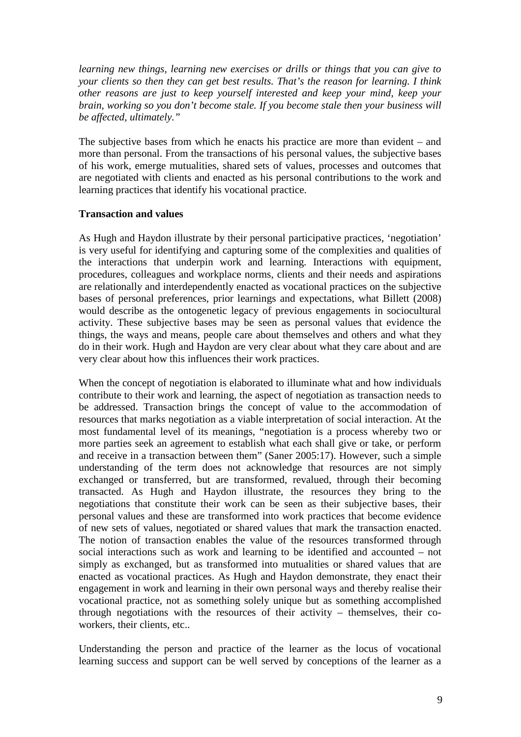*learning new things, learning new exercises or drills or things that you can give to your clients so then they can get best results. That's the reason for learning. I think other reasons are just to keep yourself interested and keep your mind, keep your brain, working so you don't become stale. If you become stale then your business will be affected, ultimately."* 

The subjective bases from which he enacts his practice are more than evident – and more than personal. From the transactions of his personal values, the subjective bases of his work, emerge mutualities, shared sets of values, processes and outcomes that are negotiated with clients and enacted as his personal contributions to the work and learning practices that identify his vocational practice.

## **Transaction and values**

As Hugh and Haydon illustrate by their personal participative practices, 'negotiation' is very useful for identifying and capturing some of the complexities and qualities of the interactions that underpin work and learning. Interactions with equipment, procedures, colleagues and workplace norms, clients and their needs and aspirations are relationally and interdependently enacted as vocational practices on the subjective bases of personal preferences, prior learnings and expectations, what Billett (2008) would describe as the ontogenetic legacy of previous engagements in sociocultural activity. These subjective bases may be seen as personal values that evidence the things, the ways and means, people care about themselves and others and what they do in their work. Hugh and Haydon are very clear about what they care about and are very clear about how this influences their work practices.

When the concept of negotiation is elaborated to illuminate what and how individuals contribute to their work and learning, the aspect of negotiation as transaction needs to be addressed. Transaction brings the concept of value to the accommodation of resources that marks negotiation as a viable interpretation of social interaction. At the most fundamental level of its meanings, "negotiation is a process whereby two or more parties seek an agreement to establish what each shall give or take, or perform and receive in a transaction between them" (Saner 2005:17). However, such a simple understanding of the term does not acknowledge that resources are not simply exchanged or transferred, but are transformed, revalued, through their becoming transacted. As Hugh and Haydon illustrate, the resources they bring to the negotiations that constitute their work can be seen as their subjective bases, their personal values and these are transformed into work practices that become evidence of new sets of values, negotiated or shared values that mark the transaction enacted. The notion of transaction enables the value of the resources transformed through social interactions such as work and learning to be identified and accounted – not simply as exchanged, but as transformed into mutualities or shared values that are enacted as vocational practices. As Hugh and Haydon demonstrate, they enact their engagement in work and learning in their own personal ways and thereby realise their vocational practice, not as something solely unique but as something accomplished through negotiations with the resources of their activity – themselves, their coworkers, their clients, etc..

Understanding the person and practice of the learner as the locus of vocational learning success and support can be well served by conceptions of the learner as a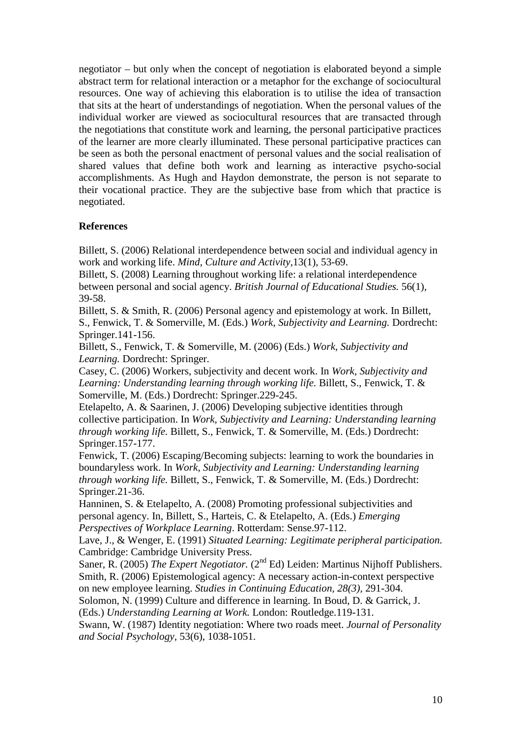negotiator – but only when the concept of negotiation is elaborated beyond a simple abstract term for relational interaction or a metaphor for the exchange of sociocultural resources. One way of achieving this elaboration is to utilise the idea of transaction that sits at the heart of understandings of negotiation. When the personal values of the individual worker are viewed as sociocultural resources that are transacted through the negotiations that constitute work and learning, the personal participative practices of the learner are more clearly illuminated. These personal participative practices can be seen as both the personal enactment of personal values and the social realisation of shared values that define both work and learning as interactive psycho-social accomplishments. As Hugh and Haydon demonstrate, the person is not separate to their vocational practice. They are the subjective base from which that practice is negotiated.

## **References**

Billett, S. (2006) Relational interdependence between social and individual agency in work and working life. *Mind, Culture and Activity,*13(1), 53-69.

Billett, S. (2008) Learning throughout working life: a relational interdependence between personal and social agency. *British Journal of Educational Studies.* 56(1), 39-58.

Billett, S. & Smith, R. (2006) Personal agency and epistemology at work. In Billett, S., Fenwick, T. & Somerville, M. (Eds.) *Work, Subjectivity and Learning.* Dordrecht: Springer.141-156.

Billett, S., Fenwick, T. & Somerville, M. (2006) (Eds.) *Work, Subjectivity and Learning.* Dordrecht: Springer.

Casey, C. (2006) Workers, subjectivity and decent work. In *Work, Subjectivity and Learning: Understanding learning through working life.* Billett, S., Fenwick, T. & Somerville, M. (Eds.) Dordrecht: Springer.229-245.

Etelapelto, A. & Saarinen, J. (2006) Developing subjective identities through collective participation. In *Work, Subjectivity and Learning: Understanding learning through working life.* Billett, S., Fenwick, T. & Somerville, M. (Eds.) Dordrecht: Springer.157-177.

Fenwick, T. (2006) Escaping/Becoming subjects: learning to work the boundaries in boundaryless work. In *Work, Subjectivity and Learning: Understanding learning through working life.* Billett, S., Fenwick, T. & Somerville, M. (Eds.) Dordrecht: Springer.21-36.

Hanninen, S. & Etelapelto, A. (2008) Promoting professional subjectivities and personal agency. In, Billett, S., Harteis, C. & Etelapelto, A. (Eds.) *Emerging Perspectives of Workplace Learning*. Rotterdam: Sense.97-112.

Lave, J., & Wenger, E. (1991) *Situated Learning: Legitimate peripheral participation.*  Cambridge: Cambridge University Press.

Saner, R. (2005) *The Expert Negotiator.* (2<sup>nd</sup> Ed) Leiden: Martinus Nijhoff Publishers. Smith, R. (2006) Epistemological agency: A necessary action-in-context perspective on new employee learning. *Studies in Continuing Education, 28(3),* 291-304.

Solomon, N. (1999) Culture and difference in learning. In Boud, D. & Garrick, J. (Eds.) *Understanding Learning at Work.* London: Routledge.119-131.

Swann, W. (1987) Identity negotiation: Where two roads meet. *Journal of Personality and Social Psychology,* 53(6), 1038-1051.